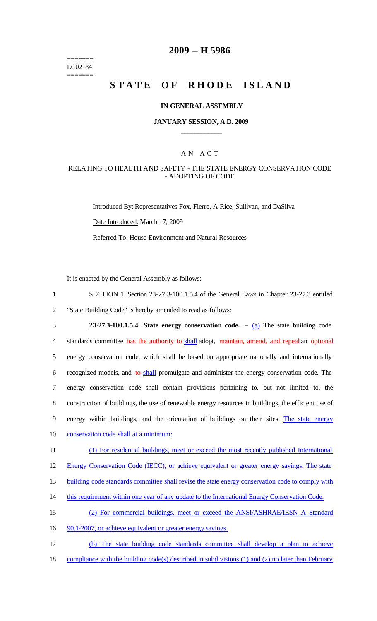======= LC02184 =======

# **2009 -- H 5986**

# **STATE OF RHODE ISLAND**

#### **IN GENERAL ASSEMBLY**

### **JANUARY SESSION, A.D. 2009 \_\_\_\_\_\_\_\_\_\_\_\_**

### A N A C T

### RELATING TO HEALTH AND SAFETY - THE STATE ENERGY CONSERVATION CODE - ADOPTING OF CODE

Introduced By: Representatives Fox, Fierro, A Rice, Sullivan, and DaSilva Date Introduced: March 17, 2009 Referred To: House Environment and Natural Resources

It is enacted by the General Assembly as follows:

- 1 SECTION 1. Section 23-27.3-100.1.5.4 of the General Laws in Chapter 23-27.3 entitled 2 "State Building Code" is hereby amended to read as follows:
- 3 **23-27.3-100.1.5.4. State energy conservation code. –** (a) The state building code 4 standards committee has the authority to shall adopt, maintain, amend, and repeal an optional 5 energy conservation code, which shall be based on appropriate nationally and internationally 6 recognized models, and  $\theta$  shall promulgate and administer the energy conservation code. The 7 energy conservation code shall contain provisions pertaining to, but not limited to, the 8 construction of buildings, the use of renewable energy resources in buildings, the efficient use of 9 energy within buildings, and the orientation of buildings on their sites. The state energy 10 conservation code shall at a minimum:
- 11 (1) For residential buildings, meet or exceed the most recently published International
- 12 Energy Conservation Code (IECC), or achieve equivalent or greater energy savings. The state
- 13 building code standards committee shall revise the state energy conservation code to comply with
- 14 this requirement within one year of any update to the International Energy Conservation Code.
- 15 (2) For commercial buildings, meet or exceed the ANSI/ASHRAE/IESN A Standard
- 16 90.1-2007, or achieve equivalent or greater energy savings.
- 17 (b) The state building code standards committee shall develop a plan to achieve 18 compliance with the building code(s) described in subdivisions (1) and (2) no later than February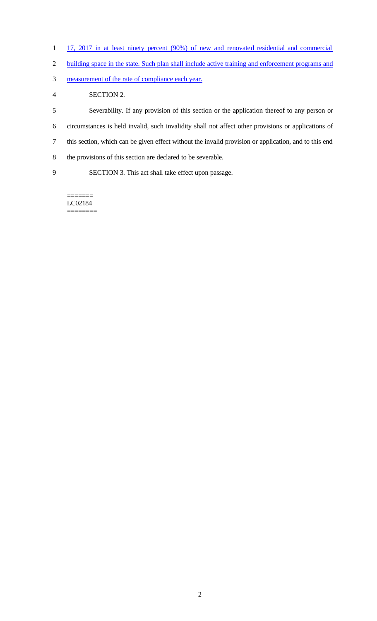- 1 17, 2017 in at least ninety percent (90%) of new and renovated residential and commercial
- building space in the state. Such plan shall include active training and enforcement programs and
- measurement of the rate of compliance each year.
- SECTION 2.

 Severability. If any provision of this section or the application thereof to any person or circumstances is held invalid, such invalidity shall not affect other provisions or applications of this section, which can be given effect without the invalid provision or application, and to this end the provisions of this section are declared to be severable. SECTION 3. This act shall take effect upon passage.

======= LC02184 ========